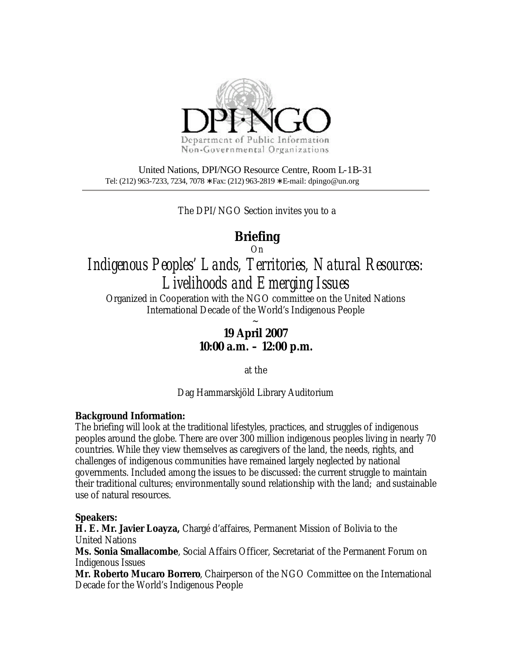

United Nations, DPI/NGO Resource Centre, Room L-1B-31 Tel: (212) 963-7233, 7234, 7078 ∗ Fax: (212) 963-2819 ∗ E-mail: dpingo@un.org

The DPI/NGO Section invites you to a

## **Briefing**

On

*Indigenous Peoples' Lands, Territories, Natural Resources: Livelihoods and Emerging Issues*

Organized in Cooperation with the NGO committee on the United Nations International Decade of the World's Indigenous People

> $\ddot{\phantom{0}}$ **19 April 2007 10:00 a.m. – 12:00 p.m.**

> > at the

Dag Hammarskjöld Library Auditorium

## **Background Information:**

The briefing will look at the traditional lifestyles, practices, and struggles of indigenous peoples around the globe. There are over 300 million indigenous peoples living in nearly 70 countries. While they view themselves as caregivers of the land, the needs, rights, and challenges of indigenous communities have remained largely neglected by national governments. Included among the issues to be discussed: the current struggle to maintain their traditional cultures; environmentally sound relationship with the land; and sustainable use of natural resources.

## **Speakers:**

**H. E. Mr. Javier Loayza,** Chargé d'affaires, Permanent Mission of Bolivia to the United Nations

**Ms. Sonia Smallacombe**, Social Affairs Officer, Secretariat of the Permanent Forum on Indigenous Issues

**Mr. Roberto Mucaro Borrero**, Chairperson of the NGO Committee on the International Decade for the World's Indigenous People